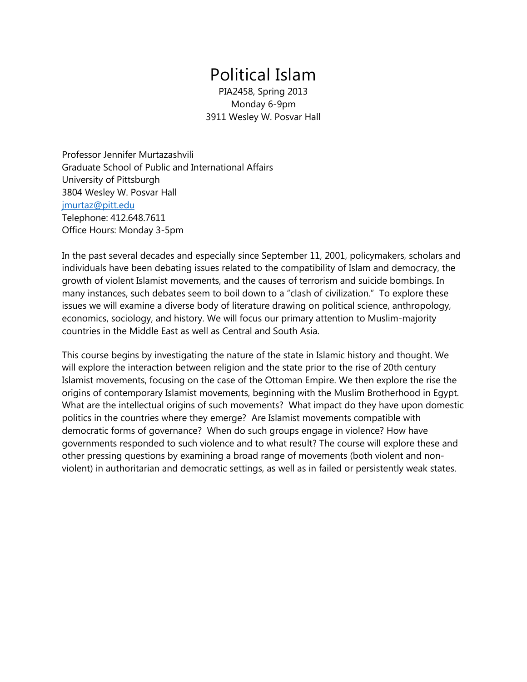# Political Islam

PIA2458, Spring 2013 Monday 6-9pm 3911 Wesley W. Posvar Hall

Professor Jennifer Murtazashvili Graduate School of Public and International Affairs University of Pittsburgh 3804 Wesley W. Posvar Hall [jmurtaz@pitt.edu](mailto:jmurtaz@pitt.edu) Telephone: 412.648.7611 Office Hours: Monday 3-5pm

In the past several decades and especially since September 11, 2001, policymakers, scholars and individuals have been debating issues related to the compatibility of Islam and democracy, the growth of violent Islamist movements, and the causes of terrorism and suicide bombings. In many instances, such debates seem to boil down to a "clash of civilization." To explore these issues we will examine a diverse body of literature drawing on political science, anthropology, economics, sociology, and history. We will focus our primary attention to Muslim-majority countries in the Middle East as well as Central and South Asia.

This course begins by investigating the nature of the state in Islamic history and thought. We will explore the interaction between religion and the state prior to the rise of 20th century Islamist movements, focusing on the case of the Ottoman Empire. We then explore the rise the origins of contemporary Islamist movements, beginning with the Muslim Brotherhood in Egypt. What are the intellectual origins of such movements? What impact do they have upon domestic politics in the countries where they emerge? Are Islamist movements compatible with democratic forms of governance? When do such groups engage in violence? How have governments responded to such violence and to what result? The course will explore these and other pressing questions by examining a broad range of movements (both violent and nonviolent) in authoritarian and democratic settings, as well as in failed or persistently weak states.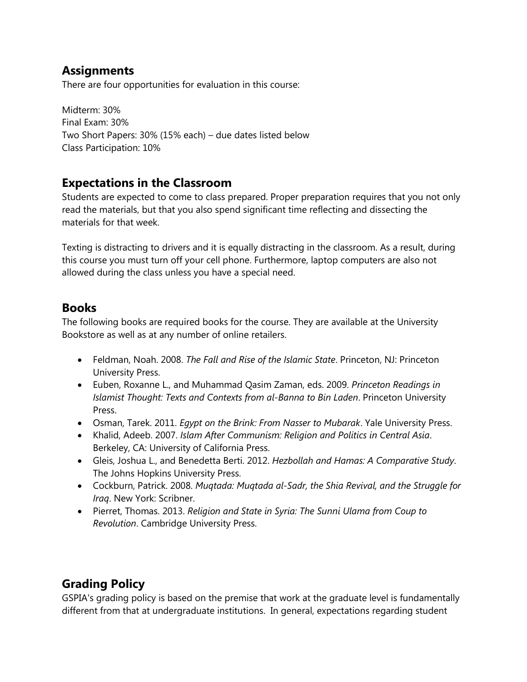### **Assignments**

There are four opportunities for evaluation in this course:

Midterm: 30% Final Exam: 30% Two Short Papers: 30% (15% each) – due dates listed below Class Participation: 10%

### **Expectations in the Classroom**

Students are expected to come to class prepared. Proper preparation requires that you not only read the materials, but that you also spend significant time reflecting and dissecting the materials for that week.

Texting is distracting to drivers and it is equally distracting in the classroom. As a result, during this course you must turn off your cell phone. Furthermore, laptop computers are also not allowed during the class unless you have a special need.

#### **Books**

The following books are required books for the course. They are available at the University Bookstore as well as at any number of online retailers.

- Feldman, Noah. 2008. *The Fall and Rise of the Islamic State*. Princeton, NJ: Princeton University Press.
- Euben, Roxanne L., and Muhammad Qasim Zaman, eds. 2009. *Princeton Readings in Islamist Thought: Texts and Contexts from al-Banna to Bin Laden*. Princeton University Press.
- Osman, Tarek. 2011. *Egypt on the Brink: From Nasser to Mubarak*. Yale University Press.
- Khalid, Adeeb. 2007. *Islam After Communism: Religion and Politics in Central Asia*. Berkeley, CA: University of California Press.
- Gleis, Joshua L., and Benedetta Berti. 2012. *Hezbollah and Hamas: A Comparative Study*. The Johns Hopkins University Press.
- Cockburn, Patrick. 2008. *Muqtada: Muqtada al-Sadr, the Shia Revival, and the Struggle for Iraq*. New York: Scribner.
- Pierret, Thomas. 2013. *Religion and State in Syria: The Sunni Ulama from Coup to Revolution*. Cambridge University Press.

# **Grading Policy**

GSPIA's grading policy is based on the premise that work at the graduate level is fundamentally different from that at undergraduate institutions. In general, expectations regarding student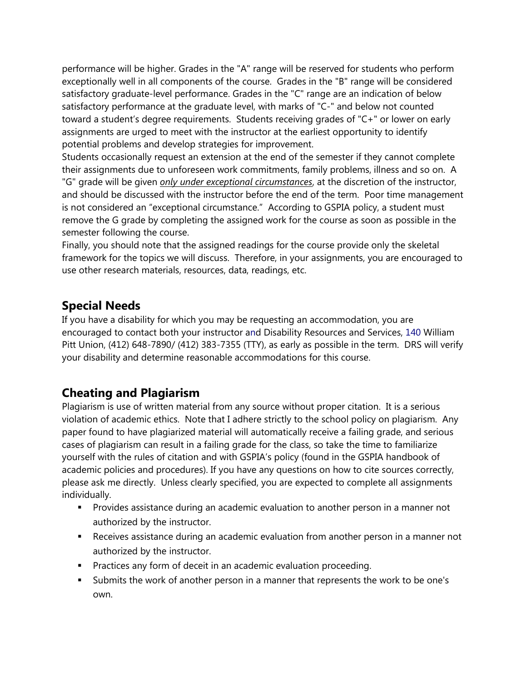performance will be higher. Grades in the "A" range will be reserved for students who perform exceptionally well in all components of the course. Grades in the "B" range will be considered satisfactory graduate-level performance. Grades in the "C" range are an indication of below satisfactory performance at the graduate level, with marks of "C-" and below not counted toward a student's degree requirements. Students receiving grades of "C+" or lower on early assignments are urged to meet with the instructor at the earliest opportunity to identify potential problems and develop strategies for improvement.

Students occasionally request an extension at the end of the semester if they cannot complete their assignments due to unforeseen work commitments, family problems, illness and so on. A "G" grade will be given *only under exceptional circumstances*, at the discretion of the instructor, and should be discussed with the instructor before the end of the term. Poor time management is not considered an "exceptional circumstance." According to GSPIA policy, a student must remove the G grade by completing the assigned work for the course as soon as possible in the semester following the course.

Finally, you should note that the assigned readings for the course provide only the skeletal framework for the topics we will discuss. Therefore, in your assignments, you are encouraged to use other research materials, resources, data, readings, etc.

### **Special Needs**

If you have a disability for which you may be requesting an accommodation, you are encouraged to contact both your instructor and Disability Resources and Services, 140 William Pitt Union, (412) 648-7890/ (412) 383-7355 (TTY), as early as possible in the term. DRS will verify your disability and determine reasonable accommodations for this course.

### **Cheating and Plagiarism**

Plagiarism is use of written material from any source without proper citation. It is a serious violation of academic ethics. Note that I adhere strictly to the school policy on plagiarism. Any paper found to have plagiarized material will automatically receive a failing grade, and serious cases of plagiarism can result in a failing grade for the class, so take the time to familiarize yourself with the rules of citation and with GSPIA's policy (found in the GSPIA handbook of academic policies and procedures). If you have any questions on how to cite sources correctly, please ask me directly. Unless clearly specified, you are expected to complete all assignments individually.

- **Provides assistance during an academic evaluation to another person in a manner not** authorized by the instructor.
- Receives assistance during an academic evaluation from another person in a manner not authorized by the instructor.
- **Practices any form of deceit in an academic evaluation proceeding.**
- Submits the work of another person in a manner that represents the work to be one's own.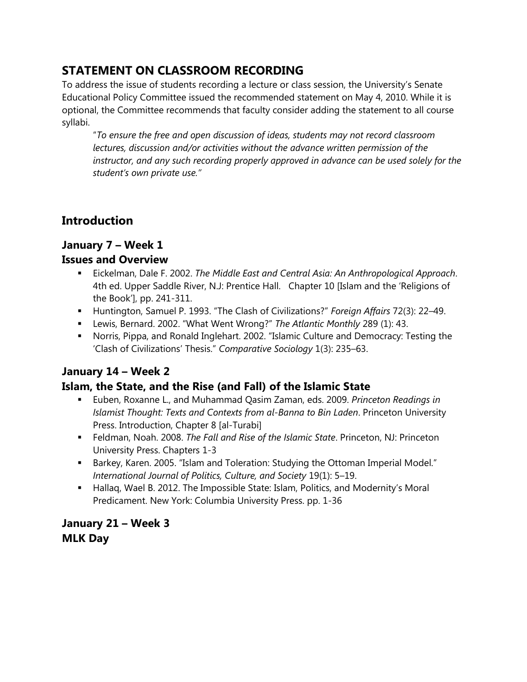# **STATEMENT ON CLASSROOM RECORDING**

To address the issue of students recording a lecture or class session, the University's Senate Educational Policy Committee issued the recommended statement on May 4, 2010. While it is optional, the Committee recommends that faculty consider adding the statement to all course syllabi.

"*To ensure the free and open discussion of ideas, students may not record classroom lectures, discussion and/or activities without the advance written permission of the instructor, and any such recording properly approved in advance can be used solely for the student's own private use."* 

# **Introduction**

### **January 7 – Week 1**

#### **Issues and Overview**

- Eickelman, Dale F. 2002. *The Middle East and Central Asia: An Anthropological Approach*. 4th ed. Upper Saddle River, N.J: Prentice Hall. Chapter 10 [Islam and the 'Religions of the Book'], pp. 241-311.
- Huntington, Samuel P. 1993. "The Clash of Civilizations?" *Foreign Affairs* 72(3): 22–49.
- Lewis, Bernard. 2002. "What Went Wrong?" *The Atlantic Monthly* 289 (1): 43.
- Norris, Pippa, and Ronald Inglehart. 2002. "Islamic Culture and Democracy: Testing the 'Clash of Civilizations' Thesis." *Comparative Sociology* 1(3): 235–63.

### **January 14 – Week 2**

#### **Islam, the State, and the Rise (and Fall) of the Islamic State**

- Euben, Roxanne L., and Muhammad Qasim Zaman, eds. 2009. *Princeton Readings in Islamist Thought: Texts and Contexts from al-Banna to Bin Laden*. Princeton University Press. Introduction, Chapter 8 [al-Turabi]
- Feldman, Noah. 2008. *The Fall and Rise of the Islamic State*. Princeton, NJ: Princeton University Press. Chapters 1-3
- **Barkey, Karen. 2005. "Islam and Toleration: Studying the Ottoman Imperial Model."** *International Journal of Politics, Culture, and Society* 19(1): 5–19.
- Hallaq, Wael B. 2012. The Impossible State: Islam, Politics, and Modernity's Moral Predicament. New York: Columbia University Press. pp. 1-36

### **January 21 – Week 3 MLK Day**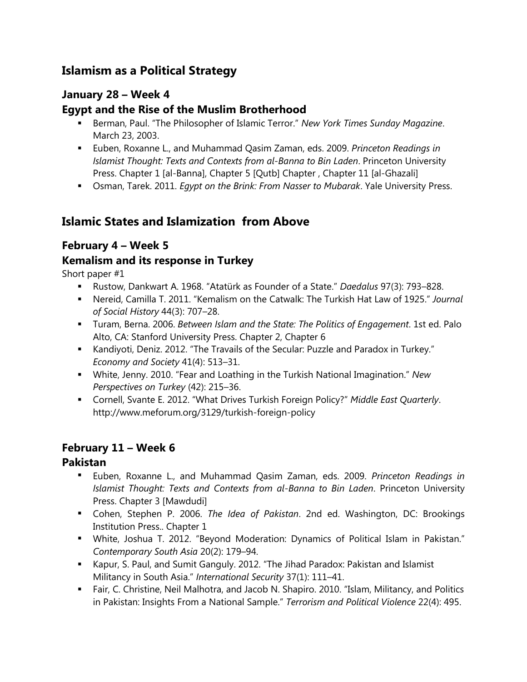# **Islamism as a Political Strategy**

### **January 28 – Week 4**

#### **Egypt and the Rise of the Muslim Brotherhood**

- Berman, Paul. "The Philosopher of Islamic Terror." *New York Times Sunday Magazine*. March 23, 2003.
- Euben, Roxanne L., and Muhammad Qasim Zaman, eds. 2009. *Princeton Readings in Islamist Thought: Texts and Contexts from al-Banna to Bin Laden*. Princeton University Press. Chapter 1 [al-Banna], Chapter 5 [Qutb] Chapter, Chapter 11 [al-Ghazali]
- Osman, Tarek. 2011. *Egypt on the Brink: From Nasser to Mubarak*. Yale University Press.

### **Islamic States and Islamization from Above**

#### **February 4 – Week 5**

#### **Kemalism and its response in Turkey**

Short paper #1

- Rustow, Dankwart A. 1968. "Atatürk as Founder of a State." *Daedalus* 97(3): 793–828.
- Nereid, Camilla T. 2011. "Kemalism on the Catwalk: The Turkish Hat Law of 1925." *Journal of Social History* 44(3): 707–28.
- Turam, Berna. 2006. *Between Islam and the State: The Politics of Engagement*. 1st ed. Palo Alto, CA: Stanford University Press. Chapter 2, Chapter 6
- Kandiyoti, Deniz. 2012. "The Travails of the Secular: Puzzle and Paradox in Turkey." *Economy and Society* 41(4): 513–31.
- White, Jenny. 2010. "Fear and Loathing in the Turkish National Imagination." *New Perspectives on Turkey* (42): 215–36.
- Cornell, Svante E. 2012. "What Drives Turkish Foreign Policy?" *Middle East Quarterly*. http://www.meforum.org/3129/turkish-foreign-policy

#### **February 11 – Week 6**

#### **Pakistan**

- Euben, Roxanne L., and Muhammad Qasim Zaman, eds. 2009. *Princeton Readings in Islamist Thought: Texts and Contexts from al-Banna to Bin Laden*. Princeton University Press. Chapter 3 [Mawdudi]
- Cohen, Stephen P. 2006. *The Idea of Pakistan*. 2nd ed. Washington, DC: Brookings Institution Press.. Chapter 1
- White, Joshua T. 2012. "Beyond Moderation: Dynamics of Political Islam in Pakistan." *Contemporary South Asia* 20(2): 179–94.
- Kapur, S. Paul, and Sumit Ganguly. 2012. "The Jihad Paradox: Pakistan and Islamist Militancy in South Asia." *International Security* 37(1): 111–41.
- Fair, C. Christine, Neil Malhotra, and Jacob N. Shapiro. 2010. "Islam, Militancy, and Politics in Pakistan: Insights From a National Sample." *Terrorism and Political Violence* 22(4): 495.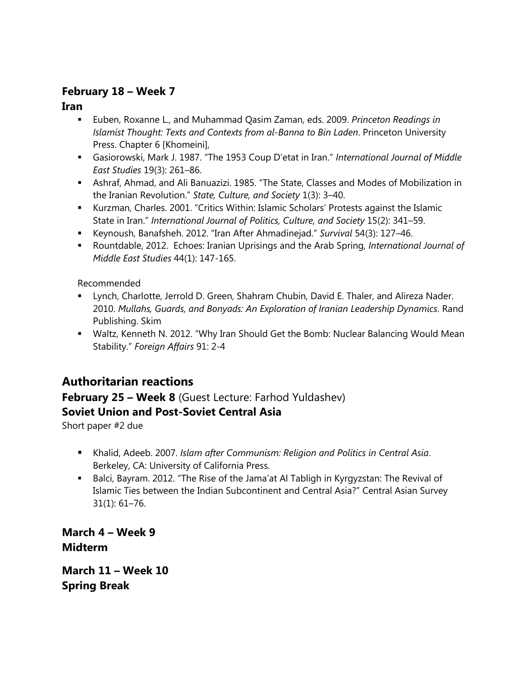#### **February 18 – Week 7**

**Iran**

- Euben, Roxanne L., and Muhammad Qasim Zaman, eds. 2009. *Princeton Readings in Islamist Thought: Texts and Contexts from al-Banna to Bin Laden*. Princeton University Press. Chapter 6 [Khomeini],
- Gasiorowski, Mark J. 1987. "The 1953 Coup D'etat in Iran." *International Journal of Middle East Studies* 19(3): 261–86.
- Ashraf, Ahmad, and Ali Banuazizi. 1985. "The State, Classes and Modes of Mobilization in the Iranian Revolution." *State, Culture, and Society* 1(3): 3–40.
- Kurzman, Charles. 2001. "Critics Within: Islamic Scholars' Protests against the Islamic State in Iran." *International Journal of Politics, Culture, and Society* 15(2): 341–59.
- Keynoush, Banafsheh. 2012. "Iran After Ahmadinejad." *Survival* 54(3): 127–46.
- Rountdable, 2012. Echoes: Iranian Uprisings and the Arab Spring, *International Journal of Middle East Studies* 44(1): 147-165.

Recommended

- Lynch, Charlotte, Jerrold D. Green, Shahram Chubin, David E. Thaler, and Alireza Nader. 2010. *Mullahs, Guards, and Bonyads: An Exploration of Iranian Leadership Dynamics*. Rand Publishing. Skim
- Waltz, Kenneth N. 2012. "Why Iran Should Get the Bomb: Nuclear Balancing Would Mean Stability." *Foreign Affairs* 91: 2-4

# **Authoritarian reactions**

### **February 25 – Week 8** (Guest Lecture: Farhod Yuldashev)

#### **Soviet Union and Post-Soviet Central Asia**

Short paper #2 due

- Khalid, Adeeb. 2007. *Islam after Communism: Religion and Politics in Central Asia*. Berkeley, CA: University of California Press.
- **Balci, Bayram. 2012. "The Rise of the Jama'at Al Tabligh in Kyrgyzstan: The Revival of** Islamic Ties between the Indian Subcontinent and Central Asia?" Central Asian Survey 31(1): 61–76.

**March 4 – Week 9 Midterm**

**March 11 – Week 10 Spring Break**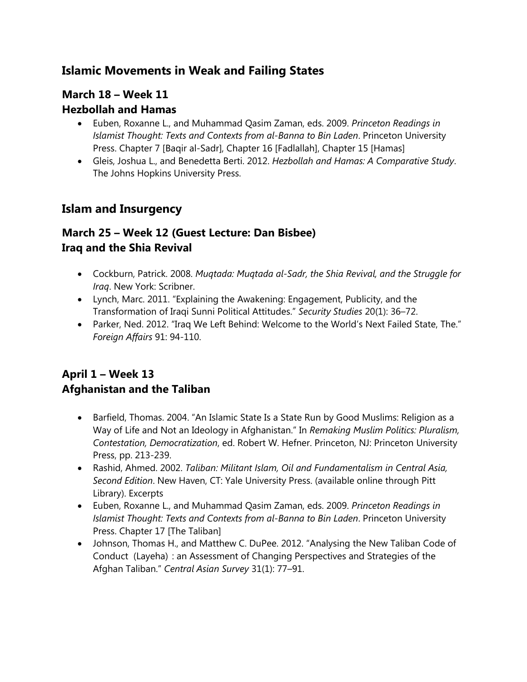# **Islamic Movements in Weak and Failing States**

# **March 18 – Week 11**

### **Hezbollah and Hamas**

- Euben, Roxanne L., and Muhammad Qasim Zaman, eds. 2009. *Princeton Readings in Islamist Thought: Texts and Contexts from al-Banna to Bin Laden*. Princeton University Press. Chapter 7 [Baqir al-Sadr], Chapter 16 [Fadlallah], Chapter 15 [Hamas]
- Gleis, Joshua L., and Benedetta Berti. 2012. *Hezbollah and Hamas: A Comparative Study*. The Johns Hopkins University Press.

# **Islam and Insurgency**

# **March 25 – Week 12 (Guest Lecture: Dan Bisbee) Iraq and the Shia Revival**

- Cockburn, Patrick. 2008. *Muqtada: Muqtada al-Sadr, the Shia Revival, and the Struggle for Iraq*. New York: Scribner.
- Lynch, Marc. 2011. "Explaining the Awakening: Engagement, Publicity, and the Transformation of Iraqi Sunni Political Attitudes." *Security Studies* 20(1): 36–72.
- Parker, Ned. 2012. "Iraq We Left Behind: Welcome to the World's Next Failed State, The." *Foreign Affairs* 91: 94-110.

# **April 1 – Week 13 Afghanistan and the Taliban**

- Barfield, Thomas. 2004. "An Islamic State Is a State Run by Good Muslims: Religion as a Way of Life and Not an Ideology in Afghanistan." In *Remaking Muslim Politics: Pluralism, Contestation, Democratization*, ed. Robert W. Hefner. Princeton, NJ: Princeton University Press, pp. 213-239.
- Rashid, Ahmed. 2002. *Taliban: Militant Islam, Oil and Fundamentalism in Central Asia, Second Edition*. New Haven, CT: Yale University Press. (available online through Pitt Library). Excerpts
- Euben, Roxanne L., and Muhammad Qasim Zaman, eds. 2009. *Princeton Readings in Islamist Thought: Texts and Contexts from al-Banna to Bin Laden*. Princeton University Press. Chapter 17 [The Taliban]
- Johnson, Thomas H., and Matthew C. DuPee. 2012. "Analysing the New Taliban Code of Conduct (Layeha)  : an Assessment of Changing Perspectives and Strategies of the Afghan Taliban." *Central Asian Survey* 31(1): 77–91.